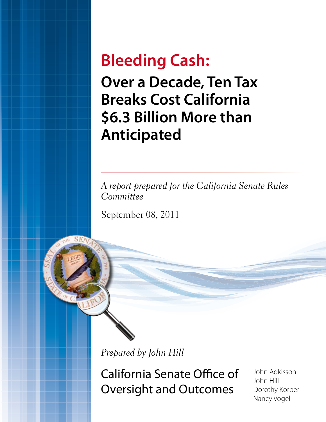# **Bleeding Cash:**

**Over a Decade, Ten Tax Breaks Cost California \$6.3 Billion More than Anticipated**

*A report prepared for the California Senate Rules Committee*

September 08, 2011

*Prepared by John Hill*

California Senate Office of Oversight and Outcomes

John Adkisson John Hill Dorothy Korber Nancy Vogel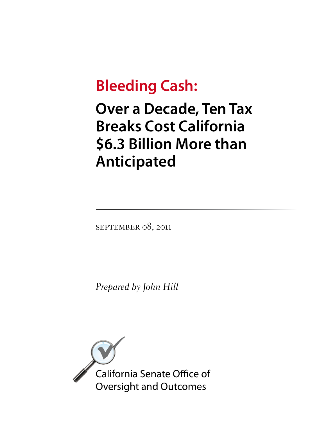# **Bleeding Cash:**

**Over a Decade, Ten Tax Breaks Cost California \$6.3 Billion More than Anticipated**

SEPTEMBER 08, 2011

*Prepared by John Hill*

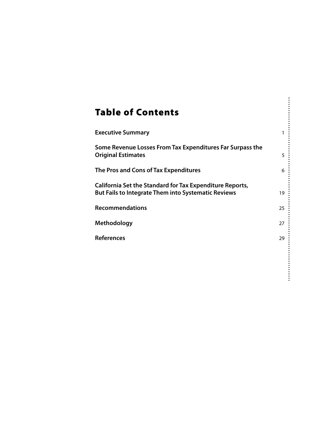### Table of Contents

| 1  |
|----|
| 5  |
| 6  |
| 19 |
| 25 |
| 27 |
| 29 |
|    |
|    |
|    |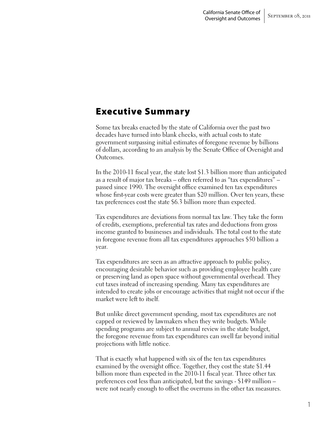### Executive Summary

Some tax breaks enacted by the state of California over the past two decades have turned into blank checks, with actual costs to state government surpassing initial estimates of foregone revenue by billions of dollars, according to an analysis by the Senate Office of Oversight and Outcomes.

In the 2010-11 fiscal year, the state lost \$1.3 billion more than anticipated as a result of major tax breaks – often referred to as "tax expenditures" – passed since 1990. The oversight office examined ten tax expenditures whose first-year costs were greater than \$20 million. Over ten years, these tax preferences cost the state \$6.3 billion more than expected.

Tax expenditures are deviations from normal tax law. They take the form of credits, exemptions, preferential tax rates and deductions from gross income granted to businesses and individuals. The total cost to the state in foregone revenue from all tax expenditures approaches \$50 billion a year.

Tax expenditures are seen as an attractive approach to public policy, encouraging desirable behavior such as providing employee health care or preserving land as open space without governmental overhead. They cut taxes instead of increasing spending. Many tax expenditures are intended to create jobs or encourage activities that might not occur if the market were left to itself.

But unlike direct government spending, most tax expenditures are not capped or reviewed by lawmakers when they write budgets. While spending programs are subject to annual review in the state budget, the foregone revenue from tax expenditures can swell far beyond initial projections with little notice.

That is exactly what happened with six of the ten tax expenditures examined by the oversight office. Together, they cost the state \$1.44 billion more than expected in the 2010-11 fiscal year. Three other tax preferences cost less than anticipated, but the savings - \$149 million – were not nearly enough to offset the overruns in the other tax measures.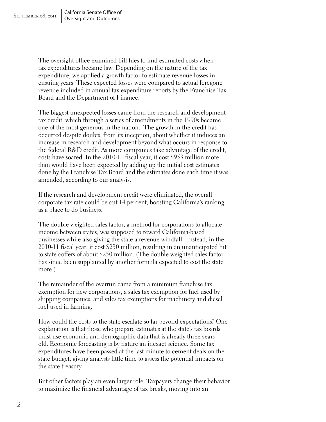The oversight office examined bill files to find estimated costs when tax expenditures became law. Depending on the nature of the tax expenditure, we applied a growth factor to estimate revenue losses in ensuing years. These expected losses were compared to actual foregone revenue included in annual tax expenditure reports by the Franchise Tax Board and the Department of Finance.

The biggest unexpected losses came from the research and development tax credit, which through a series of amendments in the 1990s became one of the most generous in the nation. The growth in the credit has occurred despite doubts, from its inception, about whether it induces an increase in research and development beyond what occurs in response to the federal R&D credit. As more companies take advantage of the credit, costs have soared. In the 2010-11 fiscal year, it cost \$953 million more than would have been expected by adding up the initial cost estimates done by the Franchise Tax Board and the estimates done each time it was amended, according to our analysis.

If the research and development credit were eliminated, the overall corporate tax rate could be cut 14 percent, boosting California's ranking as a place to do business.

The double-weighted sales factor, a method for corporations to allocate income between states, was supposed to reward California-based businesses while also giving the state a revenue windfall. Instead, in the 2010-11 fiscal year, it cost \$230 million, resulting in an unanticipated hit to state coffers of about \$250 million. (The double-weighted sales factor has since been supplanted by another formula expected to cost the state more.)

The remainder of the overrun came from a minimum franchise tax exemption for new corporations, a sales tax exemption for fuel used by shipping companies, and sales tax exemptions for machinery and diesel fuel used in farming.

How could the costs to the state escalate so far beyond expectations? One explanation is that those who prepare estimates at the state's tax boards must use economic and demographic data that is already three years old. Economic forecasting is by nature an inexact science. Some tax expenditures have been passed at the last minute to cement deals on the state budget, giving analysts little time to assess the potential impacts on the state treasury.

But other factors play an even larger role. Taxpayers change their behavior to maximize the financial advantage of tax breaks, moving into an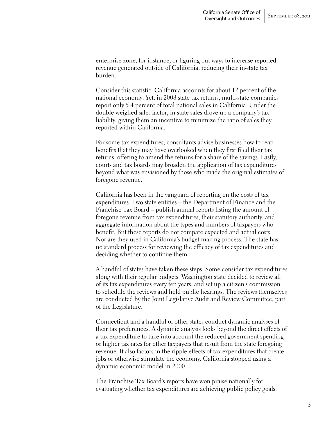enterprise zone, for instance, or figuring out ways to increase reported revenue generated outside of California, reducing their in-state tax burden.

Consider this statistic: California accounts for about 12 percent of the national economy. Yet, in 2008 state tax returns, multi-state companies report only 5.4 percent of total national sales in California. Under the double-weighed sales factor, in-state sales drove up a company's tax liability, giving them an incentive to minimize the ratio of sales they reported within California.

For some tax expenditures, consultants advise businesses how to reap benefits that they may have overlooked when they first filed their tax returns, offering to amend the returns for a share of the savings. Lastly, courts and tax boards may broaden the application of tax expenditures beyond what was envisioned by those who made the original estimates of foregone revenue.

California has been in the vanguard of reporting on the costs of tax expenditures. Two state entities – the Department of Finance and the Franchise Tax Board – publish annual reports listing the amount of foregone revenue from tax expenditures, their statutory authority, and aggregate information about the types and numbers of taxpayers who benefit. But these reports do not compare expected and actual costs. Nor are they used in California's budget-making process. The state has no standard process for reviewing the efficacy of tax expenditures and deciding whether to continue them.

A handful of states have taken these steps. Some consider tax expenditures along with their regular budgets. Washington state decided to review all of its tax expenditures every ten years, and set up a citizen's commission to schedule the reviews and hold public hearings. The reviews themselves are conducted by the Joint Legislative Audit and Review Committee, part of the Legislature.

Connecticut and a handful of other states conduct dynamic analyses of their tax preferences. A dynamic analysis looks beyond the direct effects of a tax expenditure to take into account the reduced government spending or higher tax rates for other taxpayers that result from the state foregoing revenue. It also factors in the ripple effects of tax expenditures that create jobs or otherwise stimulate the economy. California stopped using a dynamic economic model in 2000.

The Franchise Tax Board's reports have won praise nationally for evaluating whether tax expenditures are achieving public policy goals.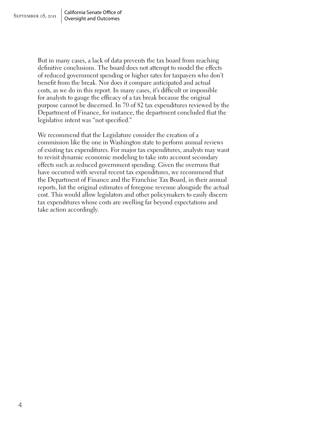But in many cases, a lack of data prevents the tax board from reaching definitive conclusions. The board does not attempt to model the effects of reduced government spending or higher rates for taxpayers who don't benefit from the break. Nor does it compare anticipated and actual costs, as we do in this report. In many cases, it's difficult or impossible for analysts to gauge the efficacy of a tax break because the original purpose cannot be discerned. In 70 of 82 tax expenditures reviewed by the Department of Finance, for instance, the department concluded that the legislative intent was "not specified."

We recommend that the Legislature consider the creation of a commission like the one in Washington state to perform annual reviews of existing tax expenditures. For major tax expenditures, analysts may want to revisit dynamic economic modeling to take into account secondary effects such as reduced government spending. Given the overruns that have occurred with several recent tax expenditures, we recommend that the Department of Finance and the Franchise Tax Board, in their annual reports, list the original estimates of foregone revenue alongside the actual cost. This would allow legislators and other policymakers to easily discern tax expenditures whose costs are swelling far beyond expectations and take action accordingly.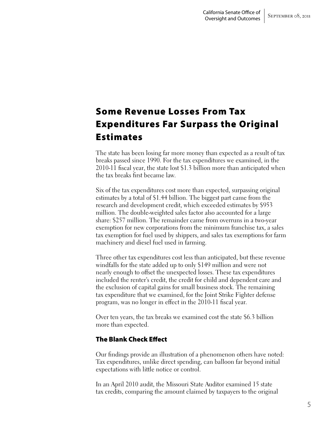### Some Revenue Losses From Tax Expenditures Far Surpass the Original Estimates

The state has been losing far more money than expected as a result of tax breaks passed since 1990. For the tax expenditures we examined, in the 2010-11 fiscal year, the state lost \$1.3 billion more than anticipated when the tax breaks first became law.

Six of the tax expenditures cost more than expected, surpassing original estimates by a total of \$1.44 billion. The biggest part came from the research and development credit, which exceeded estimates by \$953 million. The double-weighted sales factor also accounted for a large share: \$257 million. The remainder came from overruns in a two-year exemption for new corporations from the minimum franchise tax, a sales tax exemption for fuel used by shippers, and sales tax exemptions for farm machinery and diesel fuel used in farming.

Three other tax expenditures cost less than anticipated, but these revenue windfalls for the state added up to only \$149 million and were not nearly enough to offset the unexpected losses. These tax expenditures included the renter's credit, the credit for child and dependent care and the exclusion of capital gains for small business stock. The remaining tax expenditure that we examined, for the Joint Strike Fighter defense program, was no longer in effect in the 2010-11 fiscal year.

Over ten years, the tax breaks we examined cost the state \$6.3 billion more than expected.

#### The Blank Check Effect

Our findings provide an illustration of a phenomenon others have noted: Tax expenditures, unlike direct spending, can balloon far beyond initial expectations with little notice or control.

In an April 2010 audit, the Missouri State Auditor examined 15 state tax credits, comparing the amount claimed by taxpayers to the original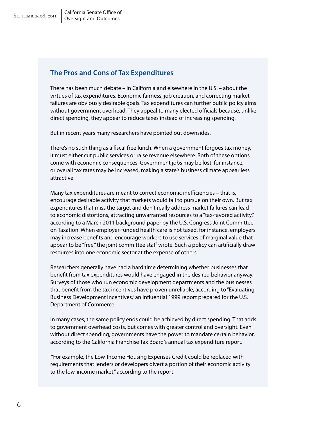### California Senate Office of

### **The Pros and Cons of Tax Expenditures**

There has been much debate – in California and elsewhere in the U.S. – about the virtues of tax expenditures. Economic fairness, job creation, and correcting market failures are obviously desirable goals. Tax expenditures can further public policy aims without government overhead. They appeal to many elected officials because, unlike direct spending, they appear to reduce taxes instead of increasing spending.

But in recent years many researchers have pointed out downsides.

There's no such thing as a fiscal free lunch. When a government forgoes tax money, it must either cut public services or raise revenue elsewhere. Both of these options come with economic consequences. Government jobs may be lost, for instance, or overall tax rates may be increased, making a state's business climate appear less attractive.

Many tax expenditures are meant to correct economic inefficiencies – that is, encourage desirable activity that markets would fail to pursue on their own. But tax expenditures that miss the target and don't really address market failures can lead to economic distortions, attracting unwarranted resources to a "tax-favored activity," according to a March 2011 background paper by the U.S. Congress Joint Committee on Taxation. When employer-funded health care is not taxed, for instance, employers may increase benefits and encourage workers to use services of marginal value that appear to be "free," the joint committee staff wrote. Such a policy can artificially draw resources into one economic sector at the expense of others.

Researchers generally have had a hard time determining whether businesses that benefit from tax expenditures would have engaged in the desired behavior anyway. Surveys of those who run economic development departments and the businesses that benefit from the tax incentives have proven unreliable, according to "Evaluating Business Development Incentives," an influential 1999 report prepared for the U.S. Department of Commerce.

In many cases, the same policy ends could be achieved by direct spending. That adds to government overhead costs, but comes with greater control and oversight. Even without direct spending, governments have the power to mandate certain behavior, according to the California Franchise Tax Board's annual tax expenditure report.

 "For example, the Low-Income Housing Expenses Credit could be replaced with requirements that lenders or developers divert a portion of their economic activity to the low-income market," according to the report.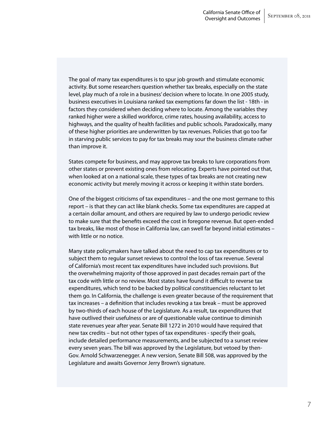The goal of many tax expenditures is to spur job growth and stimulate economic activity. But some researchers question whether tax breaks, especially on the state level, play much of a role in a business' decision where to locate. In one 2005 study, business executives in Louisiana ranked tax exemptions far down the list - 18th - in factors they considered when deciding where to locate. Among the variables they ranked higher were a skilled workforce, crime rates, housing availability, access to highways, and the quality of health facilities and public schools. Paradoxically, many of these higher priorities are underwritten by tax revenues. Policies that go too far in starving public services to pay for tax breaks may sour the business climate rather than improve it.

States compete for business, and may approve tax breaks to lure corporations from other states or prevent existing ones from relocating. Experts have pointed out that, when looked at on a national scale, these types of tax breaks are not creating new economic activity but merely moving it across or keeping it within state borders.

One of the biggest criticisms of tax expenditures – and the one most germane to this report – is that they can act like blank checks. Some tax expenditures are capped at a certain dollar amount, and others are required by law to undergo periodic review to make sure that the benefits exceed the cost in foregone revenue. But open-ended tax breaks, like most of those in California law, can swell far beyond initial estimates – with little or no notice.

Many state policymakers have talked about the need to cap tax expenditures or to subject them to regular sunset reviews to control the loss of tax revenue. Several of California's most recent tax expenditures have included such provisions. But the overwhelming majority of those approved in past decades remain part of the tax code with little or no review. Most states have found it difficult to reverse tax expenditures, which tend to be backed by political constituencies reluctant to let them go. In California, the challenge is even greater because of the requirement that tax increases – a definition that includes revoking a tax break – must be approved by two-thirds of each house of the Legislature. As a result, tax expenditures that have outlived their usefulness or are of questionable value continue to diminish state revenues year after year. Senate Bill 1272 in 2010 would have required that new tax credits – but not other types of tax expenditures - specify their goals, include detailed performance measurements, and be subjected to a sunset review every seven years. The bill was approved by the Legislature, but vetoed by then-Gov. Arnold Schwarzenegger. A new version, Senate Bill 508, was approved by the Legislature and awaits Governor Jerry Brown's signature.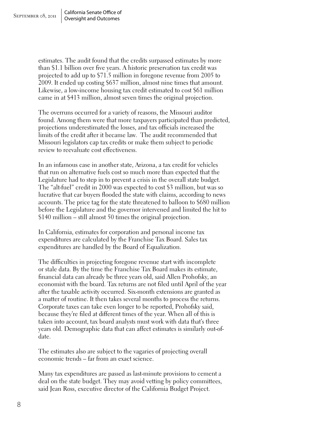estimates. The audit found that the credits surpassed estimates by more than \$1.1 billion over five years. A historic preservation tax credit was projected to add up to \$71.5 million in foregone revenue from 2005 to 2009. It ended up costing \$637 million, almost nine times that amount. Likewise, a low-income housing tax credit estimated to cost \$61 million came in at \$413 million, almost seven times the original projection.

The overruns occurred for a variety of reasons, the Missouri auditor found. Among them were that more taxpayers participated than predicted, projections underestimated the losses, and tax officials increased the limits of the credit after it became law. The audit recommended that Missouri legislators cap tax credits or make them subject to periodic review to reevaluate cost effectiveness.

In an infamous case in another state, Arizona, a tax credit for vehicles that run on alternative fuels cost so much more than expected that the Legislature had to step in to prevent a crisis in the overall state budget. The "alt-fuel" credit in 2000 was expected to cost \$3 million, but was so lucrative that car buyers flooded the state with claims, according to news accounts. The price tag for the state threatened to balloon to \$680 million before the Legislature and the governor intervened and limited the hit to \$140 million – still almost 50 times the original projection.

In California, estimates for corporation and personal income tax expenditures are calculated by the Franchise Tax Board. Sales tax expenditures are handled by the Board of Equalization.

The difficulties in projecting foregone revenue start with incomplete or stale data. By the time the Franchise Tax Board makes its estimate, financial data can already be three years old, said Allen Prohofsky, an economist with the board. Tax returns are not filed until April of the year after the taxable activity occurred. Six-month extensions are granted as a matter of routine. It then takes several months to process the returns. Corporate taxes can take even longer to be reported, Prohofsky said, because they're filed at different times of the year. When all of this is taken into account, tax board analysts must work with data that's three years old. Demographic data that can affect estimates is similarly out-ofdate.

The estimates also are subject to the vagaries of projecting overall economic trends – far from an exact science.

Many tax expenditures are passed as last-minute provisions to cement a deal on the state budget. They may avoid vetting by policy committees, said Jean Ross, executive director of the California Budget Project.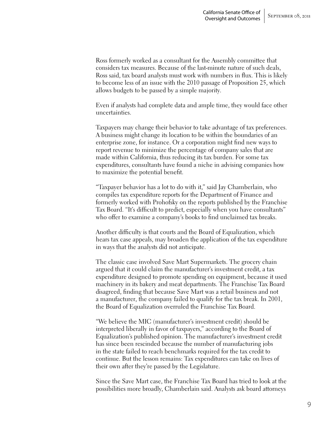Ross formerly worked as a consultant for the Assembly committee that considers tax measures. Because of the last-minute nature of such deals, Ross said, tax board analysts must work with numbers in flux. This is likely to become less of an issue with the 2010 passage of Proposition 25, which allows budgets to be passed by a simple majority.

Even if analysts had complete data and ample time, they would face other uncertainties.

Taxpayers may change their behavior to take advantage of tax preferences. A business might change its location to be within the boundaries of an enterprise zone, for instance. Or a corporation might find new ways to report revenue to minimize the percentage of company sales that are made within California, thus reducing its tax burden. For some tax expenditures, consultants have found a niche in advising companies how to maximize the potential benefit.

"Taxpayer behavior has a lot to do with it," said Jay Chamberlain, who compiles tax expenditure reports for the Department of Finance and formerly worked with Prohofsky on the reports published by the Franchise Tax Board. "It's difficult to predict, especially when you have consultants" who offer to examine a company's books to find unclaimed tax breaks.

Another difficulty is that courts and the Board of Equalization, which hears tax case appeals, may broaden the application of the tax expenditure in ways that the analysts did not anticipate.

The classic case involved Save Mart Supermarkets. The grocery chain argued that it could claim the manufacturer's investment credit, a tax expenditure designed to promote spending on equipment, because it used machinery in its bakery and meat departments. The Franchise Tax Board disagreed, finding that because Save Mart was a retail business and not a manufacturer, the company failed to qualify for the tax break. In 2001, the Board of Equalization overruled the Franchise Tax Board.

"We believe the MIC (manufacturer's investment credit) should be interpreted liberally in favor of taxpayers," according to the Board of Equalization's published opinion. The manufacturer's investment credit has since been rescinded because the number of manufacturing jobs in the state failed to reach benchmarks required for the tax credit to continue. But the lesson remains: Tax expenditures can take on lives of their own after they're passed by the Legislature.

Since the Save Mart case, the Franchise Tax Board has tried to look at the possibilities more broadly, Chamberlain said. Analysts ask board attorneys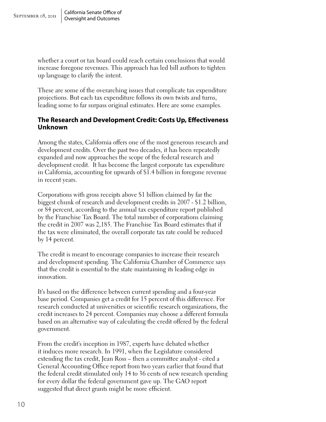whether a court or tax board could reach certain conclusions that would increase foregone revenues. This approach has led bill authors to tighten up language to clarify the intent.

These are some of the overarching issues that complicate tax expenditure projections. But each tax expenditure follows its own twists and turns, leading some to far surpass original estimates. Here are some examples.

#### **The Research and Development Credit: Costs Up, Effectiveness Unknown**

Among the states, California offers one of the most generous research and development credits. Over the past two decades, it has been repeatedly expanded and now approaches the scope of the federal research and development credit. It has become the largest corporate tax expenditure in California, accounting for upwards of \$1.4 billion in foregone revenue in recent years.

Corporations with gross receipts above \$1 billion claimed by far the biggest chunk of research and development credits in 2007 - \$1.2 billion, or 84 percent, according to the annual tax expenditure report published by the Franchise Tax Board. The total number of corporations claiming the credit in 2007 was 2,185. The Franchise Tax Board estimates that if the tax were eliminated, the overall corporate tax rate could be reduced by 14 percent.

The credit is meant to encourage companies to increase their research and development spending. The California Chamber of Commerce says that the credit is essential to the state maintaining its leading edge in innovation.

It's based on the difference between current spending and a four-year base period. Companies get a credit for 15 percent of this difference. For research conducted at universities or scientific research organizations, the credit increases to 24 percent. Companies may choose a different formula based on an alternative way of calculating the credit offered by the federal government.

From the credit's inception in 1987, experts have debated whether it induces more research. In 1991, when the Legislature considered extending the tax credit, Jean Ross – then a committee analyst - cited a General Accounting Office report from two years earlier that found that the federal credit stimulated only 14 to 36 cents of new research spending for every dollar the federal government gave up. The GAO report suggested that direct grants might be more efficient.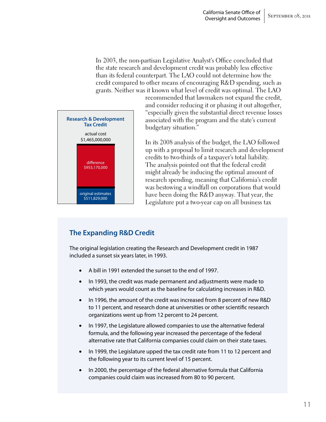In 2003, the non-partisan Legislative Analyst's Office concluded that the state research and development credit was probably less effective than its federal counterpart. The LAO could not determine how the credit compared to other means of encouraging R&D spending, such as grants. Neither was it known what level of credit was optimal. The LAO



recommended that lawmakers not expand the credit, and consider reducing it or phasing it out altogether, "especially given the substantial direct revenue losses associated with the program and the state's current budgetary situation."

In its 2008 analysis of the budget, the LAO followed up with a proposal to limit research and development credits to two-thirds of a taxpayer's total liability. The analysis pointed out that the federal credit might already be inducing the optimal amount of research spending, meaning that California's credit was bestowing a windfall on corporations that would have been doing the R&D anyway. That year, the Legislature put a two-year cap on all business tax

#### **The Expanding R&D Credit**

The original legislation creating the Research and Development credit in 1987 included a sunset six years later, in 1993.

- A bill in 1991 extended the sunset to the end of 1997.
- In 1993, the credit was made permanent and adjustments were made to which years would count as the baseline for calculating increases in R&D.
- In 1996, the amount of the credit was increased from 8 percent of new R&D to 11 percent, and research done at universities or other scientific research organizations went up from 12 percent to 24 percent.
- In 1997, the Legislature allowed companies to use the alternative federal formula, and the following year increased the percentage of the federal alternative rate that California companies could claim on their state taxes.
- In 1999, the Legislature upped the tax credit rate from 11 to 12 percent and the following year to its current level of 15 percent.
- In 2000, the percentage of the federal alternative formula that California companies could claim was increased from 80 to 90 percent.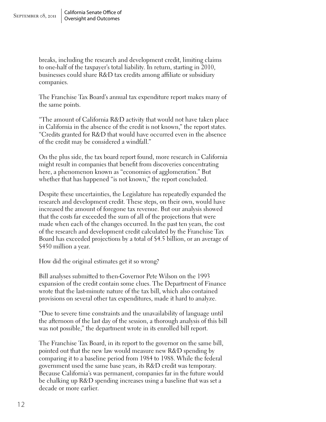breaks, including the research and development credit, limiting claims to one-half of the taxpayer's total liability. In return, starting in 2010, businesses could share R&D tax credits among affiliate or subsidiary companies.

The Franchise Tax Board's annual tax expenditure report makes many of the same points.

"The amount of California R&D activity that would not have taken place in California in the absence of the credit is not known," the report states. "Credits granted for R&D that would have occurred even in the absence of the credit may be considered a windfall."

On the plus side, the tax board report found, more research in California might result in companies that benefit from discoveries concentrating here, a phenomenon known as "economies of agglomeration." But whether that has happened "is not known," the report concluded.

Despite these uncertainties, the Legislature has repeatedly expanded the research and development credit. These steps, on their own, would have increased the amount of foregone tax revenue. But our analysis showed that the costs far exceeded the sum of all of the projections that were made when each of the changes occurred. In the past ten years, the cost of the research and development credit calculated by the Franchise Tax Board has exceeded projections by a total of \$4.5 billion, or an average of \$450 million a year.

How did the original estimates get it so wrong?

Bill analyses submitted to then-Governor Pete Wilson on the 1993 expansion of the credit contain some clues. The Department of Finance wrote that the last-minute nature of the tax bill, which also contained provisions on several other tax expenditures, made it hard to analyze.

"Due to severe time constraints and the unavailability of language until the afternoon of the last day of the session, a thorough analysis of this bill was not possible," the department wrote in its enrolled bill report.

The Franchise Tax Board, in its report to the governor on the same bill, pointed out that the new law would measure new R&D spending by comparing it to a baseline period from 1984 to 1988. While the federal government used the same base years, its R&D credit was temporary. Because California's was permanent, companies far in the future would be chalking up R&D spending increases using a baseline that was set a decade or more earlier.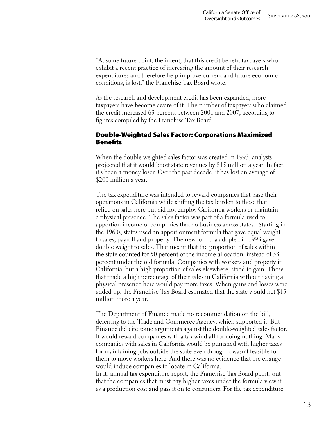"At some future point, the intent, that this credit benefit taxpayers who exhibit a recent practice of increasing the amount of their research expenditures and therefore help improve current and future economic conditions, is lost," the Franchise Tax Board wrote.

As the research and development credit has been expanded, more taxpayers have become aware of it. The number of taxpayers who claimed the credit increased 63 percent between 2001 and 2007, according to figures compiled by the Franchise Tax Board.

#### Double-Weighted Sales Factor: Corporations Maximized Benefits

When the double-weighted sales factor was created in 1993, analysts projected that it would boost state revenues by \$15 million a year. In fact, it's been a money loser. Over the past decade, it has lost an average of \$200 million a year.

The tax expenditure was intended to reward companies that base their operations in California while shifting the tax burden to those that relied on sales here but did not employ California workers or maintain a physical presence. The sales factor was part of a formula used to apportion income of companies that do business across states. Starting in the 1960s, states used an apportionment formula that gave equal weight to sales, payroll and property. The new formula adopted in 1993 gave double weight to sales. That meant that the proportion of sales within the state counted for 50 percent of the income allocation, instead of 33 percent under the old formula. Companies with workers and property in California, but a high proportion of sales elsewhere, stood to gain. Those that made a high percentage of their sales in California without having a physical presence here would pay more taxes. When gains and losses were added up, the Franchise Tax Board estimated that the state would net \$15 million more a year.

The Department of Finance made no recommendation on the bill, deferring to the Trade and Commerce Agency, which supported it. But Finance did cite some arguments against the double-weighted sales factor. It would reward companies with a tax windfall for doing nothing. Many companies with sales in California would be punished with higher taxes for maintaining jobs outside the state even though it wasn't feasible for them to move workers here. And there was no evidence that the change would induce companies to locate in California.

In its annual tax expenditure report, the Franchise Tax Board points out that the companies that must pay higher taxes under the formula view it as a production cost and pass it on to consumers. For the tax expenditure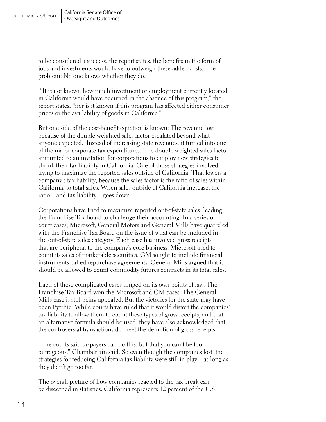to be considered a success, the report states, the benefits in the form of jobs and investments would have to outweigh these added costs. The problem: No one knows whether they do.

 "It is not known how much investment or employment currently located in California would have occurred in the absence of this program," the report states, "nor is it known if this program has affected either consumer prices or the availability of goods in California."

But one side of the cost-benefit equation is known: The revenue lost because of the double-weighted sales factor escalated beyond what anyone expected. Instead of increasing state revenues, it turned into one of the major corporate tax expenditures. The double-weighted sales factor amounted to an invitation for corporations to employ new strategies to shrink their tax liability in California. One of those strategies involved trying to maximize the reported sales outside of California. That lowers a company's tax liability, because the sales factor is the ratio of sales within California to total sales. When sales outside of California increase, the ratio – and tax liability – goes down.

Corporations have tried to maximize reported out-of-state sales, leading the Franchise Tax Board to challenge their accounting. In a series of court cases, Microsoft, General Motors and General Mills have quarreled with the Franchise Tax Board on the issue of what can be included in the out-of-state sales category. Each case has involved gross receipts that are peripheral to the company's core business. Microsoft tried to count its sales of marketable securities. GM sought to include financial instruments called repurchase agreements. General Mills argued that it should be allowed to count commodity futures contracts in its total sales.

Each of these complicated cases hinged on its own points of law. The Franchise Tax Board won the Microsoft and GM cases. The General Mills case is still being appealed. But the victories for the state may have been Pyrrhic. While courts have ruled that it would distort the companies' tax liability to allow them to count these types of gross receipts, and that an alternative formula should be used, they have also acknowledged that the controversial transactions do meet the definition of gross receipts.

"The courts said taxpayers can do this, but that you can't be too outrageous," Chamberlain said. So even though the companies lost, the strategies for reducing California tax liability were still in play – as long as they didn't go too far.

The overall picture of how companies reacted to the tax break can be discerned in statistics. California represents 12 percent of the U.S.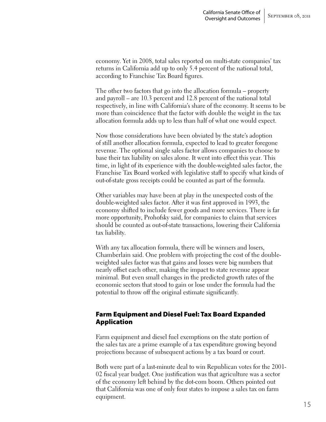economy. Yet in 2008, total sales reported on multi-state companies' tax returns in California add up to only 5.4 percent of the national total, according to Franchise Tax Board figures.

The other two factors that go into the allocation formula – property and payroll – are 10.3 percent and 12.8 percent of the national total respectively, in line with California's share of the economy. It seems to be more than coincidence that the factor with double the weight in the tax allocation formula adds up to less than half of what one would expect.

Now those considerations have been obviated by the state's adoption of still another allocation formula, expected to lead to greater foregone revenue. The optional single sales factor allows companies to choose to base their tax liability on sales alone. It went into effect this year. This time, in light of its experience with the double-weighted sales factor, the Franchise Tax Board worked with legislative staff to specify what kinds of out-of-state gross receipts could be counted as part of the formula.

Other variables may have been at play in the unexpected costs of the double-weighted sales factor. After it was first approved in 1993, the economy shifted to include fewer goods and more services. There is far more opportunity, Prohofsky said, for companies to claim that services should be counted as out-of-state transactions, lowering their California tax liability.

With any tax allocation formula, there will be winners and losers, Chamberlain said. One problem with projecting the cost of the doubleweighted sales factor was that gains and losses were big numbers that nearly offset each other, making the impact to state revenue appear minimal. But even small changes in the predicted growth rates of the economic sectors that stood to gain or lose under the formula had the potential to throw off the original estimate significantly.

#### Farm Equipment and Diesel Fuel: Tax Board Expanded Application

Farm equipment and diesel fuel exemptions on the state portion of the sales tax are a prime example of a tax expenditure growing beyond projections because of subsequent actions by a tax board or court.

Both were part of a last-minute deal to win Republican votes for the 2001- 02 fiscal year budget. One justification was that agriculture was a sector of the economy left behind by the dot-com boom. Others pointed out that California was one of only four states to impose a sales tax on farm equipment.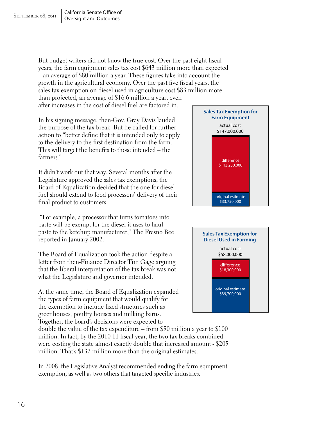But budget-writers did not know the true cost. Over the past eight fiscal years, the farm equipment sales tax cost \$643 million more than expected – an average of \$80 million a year. These figures take into account the growth in the agricultural economy. Over the past five fiscal years, the sales tax exemption on diesel used in agriculture cost \$83 million more than projected, an average of \$16.6 million a year, even

after increases in the cost of diesel fuel are factored in.

In his signing message, then-Gov. Gray Davis lauded the purpose of the tax break. But he called for further action to "better define that it is intended only to apply to the delivery to the first destination from the farm. This will target the benefits to those intended – the farmers."

It didn't work out that way. Several months after the Legislature approved the sales tax exemptions, the Board of Equalization decided that the one for diesel fuel should extend to food processors' delivery of their final product to customers.

 "For example, a processor that turns tomatoes into paste will be exempt for the diesel it uses to haul paste to the ketchup manufacturer," The Fresno Bee reported in January 2002.

The Board of Equalization took the action despite a letter from then-Finance Director Tim Gage arguing that the liberal interpretation of the tax break was not what the Legislature and governor intended.

At the same time, the Board of Equalization expanded the types of farm equipment that would qualify for the exemption to include fixed structures such as greenhouses, poultry houses and milking barns. Together, the board's decisions were expected to

double the value of the tax expenditure – from \$50 million a year to \$100 million. In fact, by the 2010-11 fiscal year, the two tax breaks combined were costing the state almost exactly double that increased amount - \$205 million. That's \$132 million more than the original estimates.

In 2008, the Legislative Analyst recommended ending the farm equipment exemption, as well as two others that targeted specific industries.



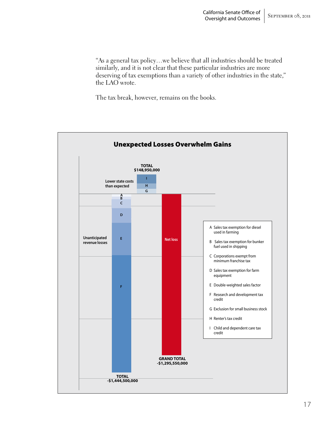"As a general tax policy…we believe that all industries should be treated similarly, and it is not clear that these particular industries are more deserving of tax exemptions than a variety of other industries in the state," the LAO wrote.

The tax break, however, remains on the books.

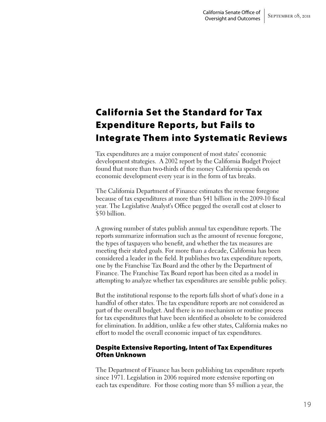## California Set the Standard for Tax Expenditure Reports, but Fails to Integrate Them into Systematic Reviews

Tax expenditures are a major component of most states' economic development strategies. A 2002 report by the California Budget Project found that more than two-thirds of the money California spends on economic development every year is in the form of tax breaks.

The California Department of Finance estimates the revenue foregone because of tax expenditures at more than \$41 billion in the 2009-10 fiscal year. The Legislative Analyst's Office pegged the overall cost at closer to \$50 billion.

A growing number of states publish annual tax expenditure reports. The reports summarize information such as the amount of revenue foregone, the types of taxpayers who benefit, and whether the tax measures are meeting their stated goals. For more than a decade, California has been considered a leader in the field. It publishes two tax expenditure reports, one by the Franchise Tax Board and the other by the Department of Finance. The Franchise Tax Board report has been cited as a model in attempting to analyze whether tax expenditures are sensible public policy.

But the institutional response to the reports falls short of what's done in a handful of other states. The tax expenditure reports are not considered as part of the overall budget. And there is no mechanism or routine process for tax expenditures that have been identified as obsolete to be considered for elimination. In addition, unlike a few other states, California makes no effort to model the overall economic impact of tax expenditures.

#### Despite Extensive Reporting, Intent of Tax Expenditures Often Unknown

The Department of Finance has been publishing tax expenditure reports since 1971. Legislation in 2006 required more extensive reporting on each tax expenditure. For those costing more than \$5 million a year, the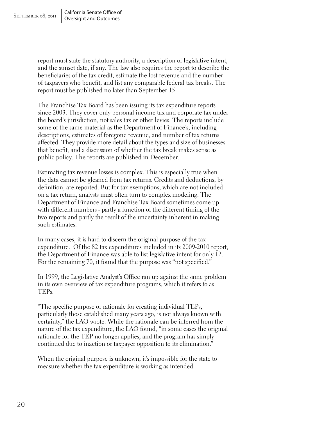report must state the statutory authority, a description of legislative intent, and the sunset date, if any. The law also requires the report to describe the beneficiaries of the tax credit, estimate the lost revenue and the number of taxpayers who benefit, and list any comparable federal tax breaks. The report must be published no later than September 15.

The Franchise Tax Board has been issuing its tax expenditure reports since 2003. They cover only personal income tax and corporate tax under the board's jurisdiction, not sales tax or other levies. The reports include some of the same material as the Department of Finance's, including descriptions, estimates of foregone revenue, and number of tax returns affected. They provide more detail about the types and size of businesses that benefit, and a discussion of whether the tax break makes sense as public policy. The reports are published in December.

Estimating tax revenue losses is complex. This is especially true when the data cannot be gleaned from tax returns. Credits and deductions, by definition, are reported. But for tax exemptions, which are not included on a tax return, analysts must often turn to complex modeling. The Department of Finance and Franchise Tax Board sometimes come up with different numbers - partly a function of the different timing of the two reports and partly the result of the uncertainty inherent in making such estimates.

In many cases, it is hard to discern the original purpose of the tax expenditure. Of the 82 tax expenditures included in its 2009-2010 report, the Department of Finance was able to list legislative intent for only 12. For the remaining 70, it found that the purpose was "not specified."

In 1999, the Legislative Analyst's Office ran up against the same problem in its own overview of tax expenditure programs, which it refers to as TEPs.

"The specific purpose or rationale for creating individual TEPs, particularly those established many years ago, is not always known with certainty," the LAO wrote. While the rationale can be inferred from the nature of the tax expenditure, the LAO found, "in some cases the original rationale for the TEP no longer applies, and the program has simply continued due to inaction or taxpayer opposition to its elimination."

When the original purpose is unknown, it's impossible for the state to measure whether the tax expenditure is working as intended.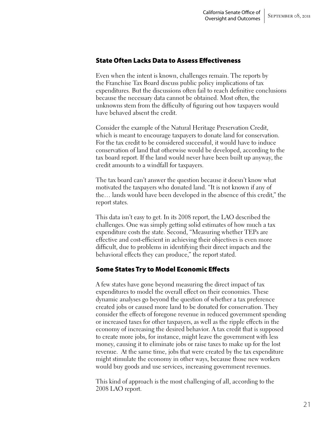#### State Often Lacks Data to Assess Effectiveness

Even when the intent is known, challenges remain. The reports by the Franchise Tax Board discuss public policy implications of tax expenditures. But the discussions often fail to reach definitive conclusions because the necessary data cannot be obtained. Most often, the unknowns stem from the difficulty of figuring out how taxpayers would have behaved absent the credit.

Consider the example of the Natural Heritage Preservation Credit, which is meant to encourage taxpayers to donate land for conservation. For the tax credit to be considered successful, it would have to induce conservation of land that otherwise would be developed, according to the tax board report. If the land would never have been built up anyway, the credit amounts to a windfall for taxpayers.

The tax board can't answer the question because it doesn't know what motivated the taxpayers who donated land. "It is not known if any of the… lands would have been developed in the absence of this credit," the report states.

This data isn't easy to get. In its 2008 report, the LAO described the challenges. One was simply getting solid estimates of how much a tax expenditure costs the state. Second, "Measuring whether TEPs are effective and cost-efficient in achieving their objectives is even more difficult, due to problems in identifying their direct impacts and the behavioral effects they can produce," the report stated.

#### Some States Try to Model Economic Effects

A few states have gone beyond measuring the direct impact of tax expenditures to model the overall effect on their economies. These dynamic analyses go beyond the question of whether a tax preference created jobs or caused more land to be donated for conservation. They consider the effects of foregone revenue in reduced government spending or increased taxes for other taxpayers, as well as the ripple effects in the economy of increasing the desired behavior. A tax credit that is supposed to create more jobs, for instance, might leave the government with less money, causing it to eliminate jobs or raise taxes to make up for the lost revenue. At the same time, jobs that were created by the tax expenditure might stimulate the economy in other ways, because those new workers would buy goods and use services, increasing government revenues.

This kind of approach is the most challenging of all, according to the 2008 LAO report.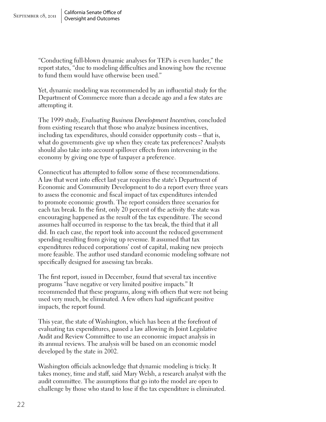"Conducting full-blown dynamic analyses for TEPs is even harder," the report states, "due to modeling difficulties and knowing how the revenue to fund them would have otherwise been used."

Yet, dynamic modeling was recommended by an influential study for the Department of Commerce more than a decade ago and a few states are attempting it.

The 1999 study, *Evaluating Business Development Incentives,* concluded from existing research that those who analyze business incentives, including tax expenditures, should consider opportunity costs – that is, what do governments give up when they create tax preferences? Analysts should also take into account spillover effects from intervening in the economy by giving one type of taxpayer a preference.

Connecticut has attempted to follow some of these recommendations. A law that went into effect last year requires the state's Department of Economic and Community Development to do a report every three years to assess the economic and fiscal impact of tax expenditures intended to promote economic growth. The report considers three scenarios for each tax break. In the first, only 20 percent of the activity the state was encouraging happened as the result of the tax expenditure. The second assumes half occurred in response to the tax break, the third that it all did. In each case, the report took into account the reduced government spending resulting from giving up revenue. It assumed that tax expenditures reduced corporations' cost of capital, making new projects more feasible. The author used standard economic modeling software not specifically designed for assessing tax breaks.

The first report, issued in December, found that several tax incentive programs "have negative or very limited positive impacts." It recommended that these programs, along with others that were not being used very much, be eliminated. A few others had significant positive impacts, the report found.

This year, the state of Washington, which has been at the forefront of evaluating tax expenditures, passed a law allowing its Joint Legislative Audit and Review Committee to use an economic impact analysis in its annual reviews. The analysis will be based on an economic model developed by the state in 2002.

Washington officials acknowledge that dynamic modeling is tricky. It takes money, time and staff, said Mary Welsh, a research analyst with the audit committee. The assumptions that go into the model are open to challenge by those who stand to lose if the tax expenditure is eliminated.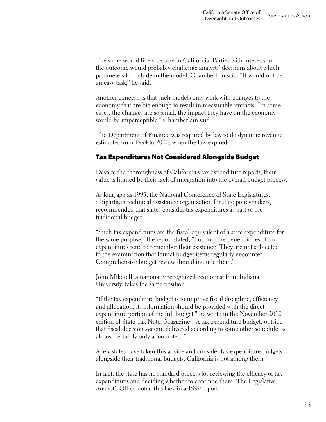The same would likely be true in California. Parties with interests in the outcome would probably challenge analysts' decisions about which parameters to include in the model, Chamberlain said. "It would not be an easy task," he said.

Another concern is that such models only work with changes to the economy that are big enough to result in measurable impacts. "In some cases, the changes are so small, the impact they have on the economy would be imperceptible," Chamberlain said.

The Department of Finance was required by law to do dynamic revenue estimates from 1994 to 2000, when the law expired.

#### Tax Expenditures Not Considered Alongside Budget

Despite the thoroughness of California's tax expenditure reports, their value is limited by their lack of integration into the overall budget process.

As long ago as 1995, the National Conference of State Legislatures, a bipartisan technical assistance organization for state policymakers, recommended that states consider tax expenditures as part of the traditional budget.

"Such tax expenditures are the fiscal equivalent of a state expenditure for the same purpose," the report stated, "but only the beneficiaries of tax expenditures tend to remember their existence. They are not subjected to the examination that formal budget items regularly encounter. Comprehensive budget review should include them."

John Mikesell, a nationally recognized economist from Indiana University, takes the same position.

"If the tax expenditure budget is to improve fiscal discipline, efficiency and allocation, its information should be provided with the direct expenditure portion of the full budget," he wrote in the November 2010 edition of State Tax Notes Magazine. "A tax expenditure budget, outside that fiscal decision system, delivered according to some other schedule, is almost certainly only a footnote…"

A few states have taken this advice and consider tax expenditure budgets alongside their traditional budgets. California is not among them.

In fact, the state has no standard process for reviewing the efficacy of tax expenditures and deciding whether to continue them. The Legislative Analyst's Office noted this lack in a 1999 report.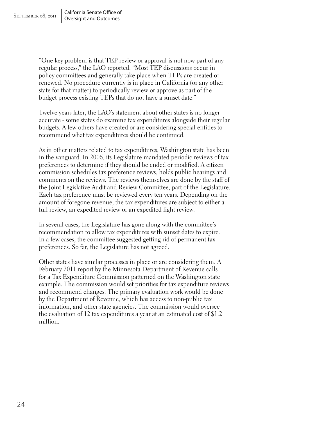"One key problem is that TEP review or approval is not now part of any regular process," the LAO reported. "Most TEP discussions occur in policy committees and generally take place when TEPs are created or renewed. No procedure currently is in place in California (or any other state for that matter) to periodically review or approve as part of the budget process existing TEPs that do not have a sunset date."

Twelve years later, the LAO's statement about other states is no longer accurate - some states do examine tax expenditures alongside their regular budgets. A few others have created or are considering special entities to recommend what tax expenditures should be continued.

As in other matters related to tax expenditures, Washington state has been in the vanguard. In 2006, its Legislature mandated periodic reviews of tax preferences to determine if they should be ended or modified. A citizen commission schedules tax preference reviews, holds public hearings and comments on the reviews. The reviews themselves are done by the staff of the Joint Legislative Audit and Review Committee, part of the Legislature. Each tax preference must be reviewed every ten years. Depending on the amount of foregone revenue, the tax expenditures are subject to either a full review, an expedited review or an expedited light review.

In several cases, the Legislature has gone along with the committee's recommendation to allow tax expenditures with sunset dates to expire. In a few cases, the committee suggested getting rid of permanent tax preferences. So far, the Legislature has not agreed.

Other states have similar processes in place or are considering them. A February 2011 report by the Minnesota Department of Revenue calls for a Tax Expenditure Commission patterned on the Washington state example. The commission would set priorities for tax expenditure reviews and recommend changes. The primary evaluation work would be done by the Department of Revenue, which has access to non-public tax information, and other state agencies. The commission would oversee the evaluation of 12 tax expenditures a year at an estimated cost of \$1.2 million.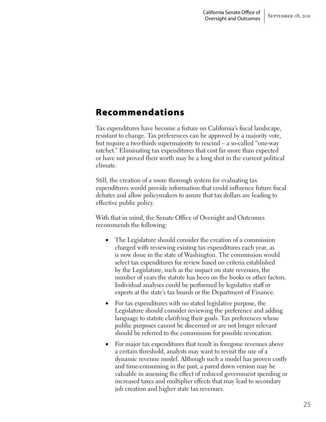### Recommendations

Tax expenditures have become a fixture on California's fiscal landscape, resistant to change. Tax preferences can be approved by a majority vote, but require a two-thirds supermajority to rescind – a so-called "one-way ratchet." Eliminating tax expenditures that cost far more than expected or have not proved their worth may be a long shot in the current political climate.

Still, the creation of a more thorough system for evaluating tax expenditures would provide information that could influence future fiscal debates and allow policymakers to assure that tax dollars are leading to effective public policy.

With that in mind, the Senate Office of Oversight and Outcomes recommends the following:

- The Legislature should consider the creation of a commission charged with reviewing existing tax expenditures each year, as is now done in the state of Washington. The commission would select tax expenditures for review based on criteria established by the Legislature, such as the impact on state revenues, the number of years the statute has been on the books or other factors. Individual analyses could be performed by legislative staff or experts at the state's tax boards or the Department of Finance.
- For tax expenditures with no stated legislative purpose, the Legislature should consider reviewing the preference and adding language to statute clarifying their goals. Tax preferences whose public purposes cannot be discerned or are not longer relevant should be referred to the commission for possible revocation.
- For major tax expenditures that result in foregone revenues above a certain threshold, analysts may want to revisit the use of a dynamic revenue model. Although such a model has proven costly and time-consuming in the past, a pared down version may be valuable in assessing the effect of reduced government spending or increased taxes and multiplier effects that may lead to secondary job creation and higher state tax revenues.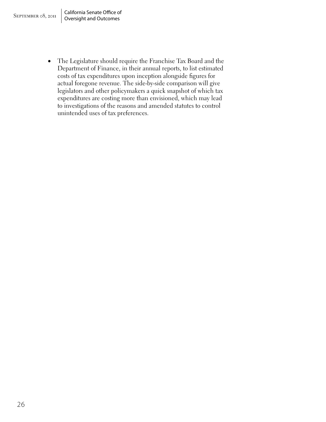• The Legislature should require the Franchise Tax Board and the Department of Finance, in their annual reports, to list estimated costs of tax expenditures upon inception alongside figures for actual foregone revenue. The side-by-side comparison will give legislators and other policymakers a quick snapshot of which tax expenditures are costing more than envisioned, which may lead to investigations of the reasons and amended statutes to control unintended uses of tax preferences.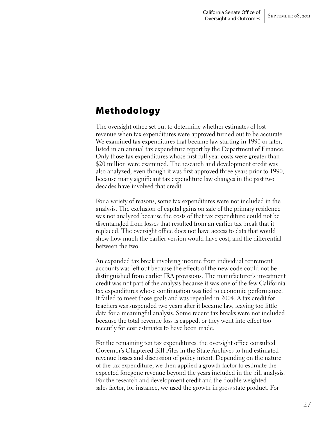### Methodology

The oversight office set out to determine whether estimates of lost revenue when tax expenditures were approved turned out to be accurate. We examined tax expenditures that became law starting in 1990 or later, listed in an annual tax expenditure report by the Department of Finance. Only those tax expenditures whose first full-year costs were greater than \$20 million were examined. The research and development credit was also analyzed, even though it was first approved three years prior to 1990, because many significant tax expenditure law changes in the past two decades have involved that credit.

For a variety of reasons, some tax expenditures were not included in the analysis. The exclusion of capital gains on sale of the primary residence was not analyzed because the costs of that tax expenditure could not be disentangled from losses that resulted from an earlier tax break that it replaced. The oversight office does not have access to data that would show how much the earlier version would have cost, and the differential between the two.

An expanded tax break involving income from individual retirement accounts was left out because the effects of the new code could not be distinguished from earlier IRA provisions. The manufacturer's investment credit was not part of the analysis because it was one of the few California tax expenditures whose continuation was tied to economic performance. It failed to meet those goals and was repealed in 2004. A tax credit for teachers was suspended two years after it became law, leaving too little data for a meaningful analysis. Some recent tax breaks were not included because the total revenue loss is capped, or they went into effect too recently for cost estimates to have been made.

For the remaining ten tax expenditures, the oversight office consulted Governor's Chaptered Bill Files in the State Archives to find estimated revenue losses and discussion of policy intent. Depending on the nature of the tax expenditure, we then applied a growth factor to estimate the expected foregone revenue beyond the years included in the bill analysis. For the research and development credit and the double-weighted sales factor, for instance, we used the growth in gross state product. For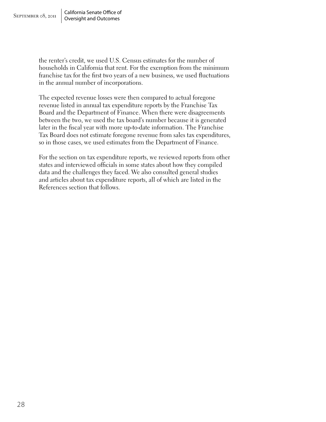the renter's credit, we used U.S. Census estimates for the number of households in California that rent. For the exemption from the minimum franchise tax for the first two years of a new business, we used fluctuations in the annual number of incorporations.

The expected revenue losses were then compared to actual foregone revenue listed in annual tax expenditure reports by the Franchise Tax Board and the Department of Finance. When there were disagreements between the two, we used the tax board's number because it is generated later in the fiscal year with more up-to-date information. The Franchise Tax Board does not estimate foregone revenue from sales tax expenditures, so in those cases, we used estimates from the Department of Finance.

For the section on tax expenditure reports, we reviewed reports from other states and interviewed officials in some states about how they compiled data and the challenges they faced. We also consulted general studies and articles about tax expenditure reports, all of which are listed in the References section that follows.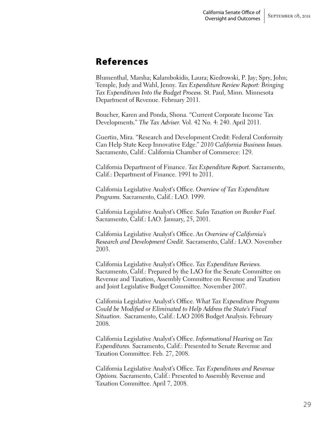### References

Blumenthal, Marsha; Kalambokidis, Laura; Kiedrowski, P. Jay; Spry, John; Temple, Judy and Wahl, Jenny. *Tax Expenditure Review Report: Bringing Tax Expenditures Into the Budget Process.* St. Paul, Minn. Minnesota Department of Revenue. February 2011.

Boucher, Karen and Ponda, Shona. "Current Corporate Income Tax Developments." *The Tax Adviser.* Vol. 42 No. 4: 240. April 2011.

Guertin, Mira. "Research and Development Credit: Federal Conformity Can Help State Keep Innovative Edge." *2010 California Business Issues.*  Sacramento, Calif.: California Chamber of Commerce: 129.

California Department of Finance. *Tax Expenditure Report.* Sacramento, Calif.: Department of Finance. 1991 to 2011.

California Legislative Analyst's Office. *Overview of Tax Expenditure Programs.* Sacramento, Calif.: LAO. 1999.

California Legislative Analyst's Office. *Sales Taxation on Bunker Fuel.*  Sacramento, Calif.: LAO. January, 25, 2001.

California Legislative Analyst's Office. *An Overview of California's Research and Development Credit.* Sacramento, Calif.: LAO. November 2003.

California Legislative Analyst's Office. *Tax Expenditure Reviews.*  Sacramento, Calif.: Prepared by the LAO for the Senate Committee on Revenue and Taxation, Assembly Committee on Revenue and Taxation and Joint Legislative Budget Committee. November 2007.

California Legislative Analyst's Office. *What Tax Expenditure Programs Could be Modified or Eliminated to Help Address the State's Fiscal Situation.* Sacramento, Calif.: LAO 2008 Budget Analysis. February 2008.

California Legislative Analyst's Office. *Informational Hearing on Tax Expenditures.* Sacramento, Calif.: Presented to Senate Revenue and Taxation Committee. Feb. 27, 2008.

California Legislative Analyst's Office. *Tax Expenditures and Revenue Options.* Sacramento, Calif.: Presented to Assembly Revenue and Taxation Committee. April 7, 2008.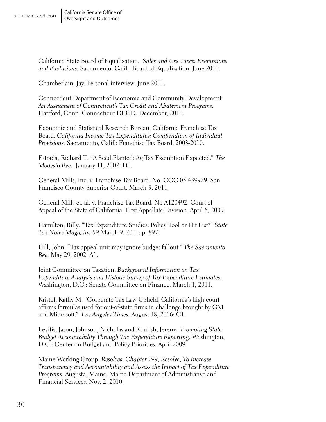California State Board of Equalization. *Sales and Use Taxes: Exemptions and Exclusions.* Sacramento, Calif.: Board of Equalization. June 2010.

Chamberlain, Jay. Personal interview. June 2011.

Connecticut Department of Economic and Community Development. *An Assessment of Connecticut's Tax Credit and Abatement Programs.*  Hartford, Conn: Connecticut DECD. December, 2010.

Economic and Statistical Research Bureau, California Franchise Tax Board. *California Income Tax Expenditures: Compendium of Individual Provisions.* Sacramento, Calif.: Franchise Tax Board. 2003-2010.

Estrada, Richard T. "A Seed Planted: Ag Tax Exemption Expected." *The Modesto Bee.* January 11, 2002: D1.

General Mills, Inc. v. Franchise Tax Board. No. CGC-05-439929. San Francisco County Superior Court. March 3, 2011.

General Mills et. al. v. Franchise Tax Board. No A120492. Court of Appeal of the State of California, First Appellate Division. April 6, 2009.

Hamilton, Billy. "Tax Expenditure Studies: Policy Tool or Hit List?" *State Tax Notes Magazine* 59 March 9, 2011: p. 897.

Hill, John. "Tax appeal unit may ignore budget fallout." *The Sacramento Bee.* May 29, 2002: A1.

Joint Committee on Taxation. *Background Information on Tax Expenditure Analysis and Historic Survey of Tax Expenditure Estimates.*  Washington, D.C.: Senate Committee on Finance. March 1, 2011.

Kristof, Kathy M. "Corporate Tax Law Upheld; California's high court affirms formulas used for out-of-state firms in challenge brought by GM and Microsoft." *Los Angeles Times.* August 18, 2006: C1.

Levitis, Jason; Johnson, Nicholas and Koulish, Jeremy. *Promoting State Budget Accountability Through Tax Expenditure Reporting.* Washington, D.C.: Center on Budget and Policy Priorities. April 2009.

Maine Working Group. *Resolves, Chapter 199, Resolve, To Increase Transparency and Accountability and Assess the Impact of Tax Expenditure Programs.* Augusta, Maine: Maine Department of Administrative and Financial Services. Nov. 2, 2010.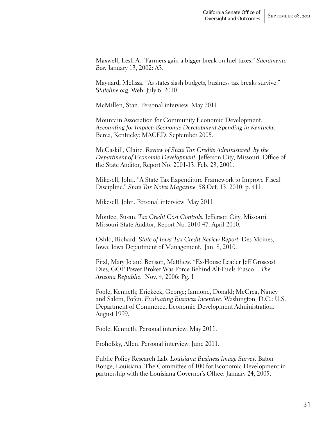Maxwell, Lesli A. "Farmers gain a bigger break on fuel taxes." *Sacramento Bee.* January 13, 2002: A3.

Maynard, Melissa. "As states slash budgets, business tax breaks survive." *Stateline.org.* Web. July 6, 2010.

McMillen, Stan. Personal interview. May 2011.

Mountain Association for Community Economic Development. *Accounting for Impact: Economic Development Spending in Kentucky.*  Berea, Kentucky: MACED. September 2005.

McCaskill, Claire. *Review of State Tax Credits Administered by the Department of Economic Development.* Jefferson City, Missouri: Office of the State Auditor, Report No. 2001-13. Feb. 23, 2001.

Mikesell, John. "A State Tax Expenditure Framework to Improve Fiscal Discipline." *State Tax Notes Magazine* 58 Oct. 13, 2010: p. 411.

Mikesell, John. Personal interview. May 2011.

Montee, Susan. *Tax Credit Cost Controls.* Jefferson City, Missouri: Missouri State Auditor, Report No. 2010-47. April 2010.

Oshlo, Richard. *State of Iowa Tax Credit Review Report.* Des Moines, Iowa: Iowa Department of Management. Jan. 8, 2010.

Pitzl, Mary Jo and Benson, Matthew. "Ex-House Leader Jeff Groscost Dies; GOP Power Broker Was Force Behind Alt-Fuels Fiasco." *The Arizona Republic.* Nov. 4, 2006: Pg. 1.

Poole, Kenneth; Erickcek, George; Iannone, Donald; McCrea, Nancy and Salem, Pofen. *Evaluating Business Incentive.* Washington, D.C.: U.S. Department of Commerce, Economic Development Administration. August 1999.

Poole, Kenneth. Personal interview. May 2011.

Prohofsky, Allen. Personal interview. June 2011.

Public Policy Research Lab. *Louisiana Business Image Survey.* Baton Rouge, Louisiana: The Committee of 100 for Economic Development in partnership with the Louisiana Governor's Office. January 24, 2005.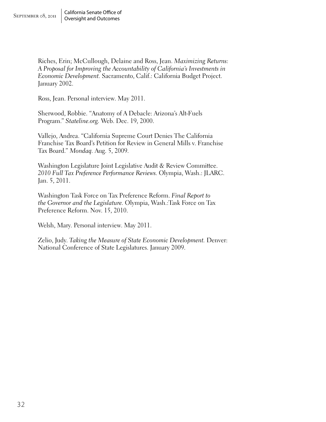Riches, Erin; McCullough, Delaine and Ross, Jean. *Maximizing Returns: A Proposal for Improving the Accountability of California's Investments in Economic Development.* Sacramento, Calif.: California Budget Project. January 2002.

Ross, Jean. Personal interview. May 2011.

Sherwood, Robbie. "Anatomy of A Debacle: Arizona's Alt-Fuels Program." *Stateline.org.* Web. Dec. 19, 2000.

Vallejo, Andrea. "California Supreme Court Denies The California Franchise Tax Board's Petition for Review in General Mills v. Franchise Tax Board." *Mondaq.* Aug. 5, 2009.

Washington Legislature Joint Legislative Audit & Review Committee. *2010 Full Tax Preference Performance Reviews.* Olympia, Wash.: JLARC. Jan. 5, 2011.

Washington Task Force on Tax Preference Reform. *Final Report to the Governor and the Legislature.* Olympia, Wash.:Task Force on Tax Preference Reform. Nov. 15, 2010.

Welsh, Mary. Personal interview. May 2011.

Zelio, Judy. *Taking the Measure of State Economic Development.* Denver: National Conference of State Legislatures. January 2009.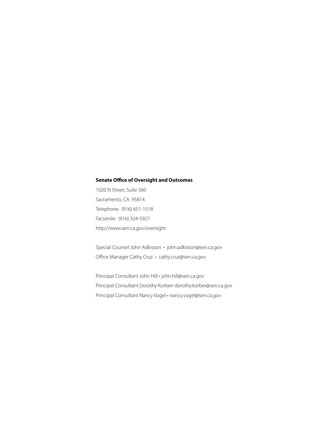#### **Senate Office of Oversight and Outcomes**

1020 N Street, Suite 560 Sacramento, CA 95814 Telephone: (916) 651-1518 Facsimile: (916) 324-5927 http://www.sen.ca.gov/oversight

Special Counsel John Adkisson • john.adkisson@sen.ca.gov Office Manager Cathy Cruz • cathy.cruz@sen.ca.gov

Principal Consultant John Hill • john.hill@sen.ca.gov Principal Consultant Dorothy Korber• dorothy.korber@sen.ca.gov Principal Consultant Nancy Vogel • nancy.vogel@sen.ca.gov